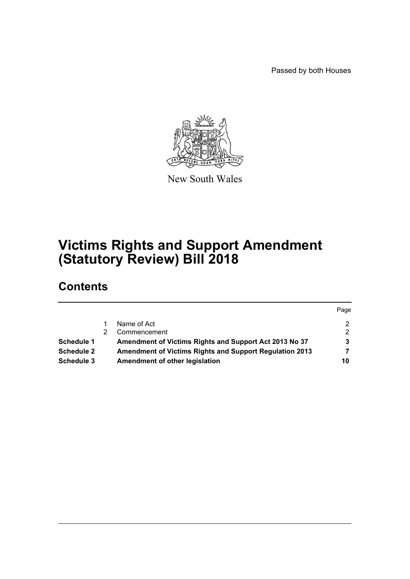Passed by both Houses



New South Wales

# **Victims Rights and Support Amendment (Statutory Review) Bill 2018**

# **Contents**

|            |                                                                | Page |
|------------|----------------------------------------------------------------|------|
|            | Name of Act                                                    |      |
|            | Commencement                                                   |      |
| Schedule 1 | Amendment of Victims Rights and Support Act 2013 No 37         |      |
| Schedule 2 | <b>Amendment of Victims Rights and Support Regulation 2013</b> |      |
| Schedule 3 | Amendment of other legislation                                 | 10   |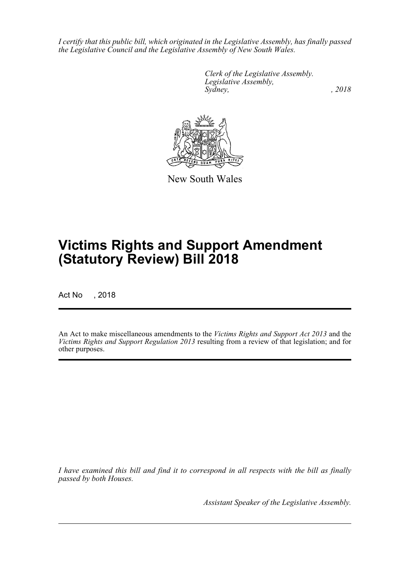*I certify that this public bill, which originated in the Legislative Assembly, has finally passed the Legislative Council and the Legislative Assembly of New South Wales.*

> *Clerk of the Legislative Assembly. Legislative Assembly, Sydney, , 2018*



New South Wales

# **Victims Rights and Support Amendment (Statutory Review) Bill 2018**

Act No , 2018

An Act to make miscellaneous amendments to the *Victims Rights and Support Act 2013* and the *Victims Rights and Support Regulation 2013* resulting from a review of that legislation; and for other purposes.

*I have examined this bill and find it to correspond in all respects with the bill as finally passed by both Houses.*

*Assistant Speaker of the Legislative Assembly.*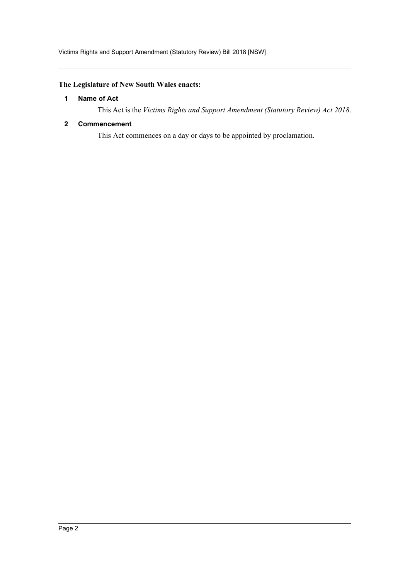#### <span id="page-2-0"></span>**The Legislature of New South Wales enacts:**

#### **1 Name of Act**

This Act is the *Victims Rights and Support Amendment (Statutory Review) Act 2018*.

#### <span id="page-2-1"></span>**2 Commencement**

This Act commences on a day or days to be appointed by proclamation.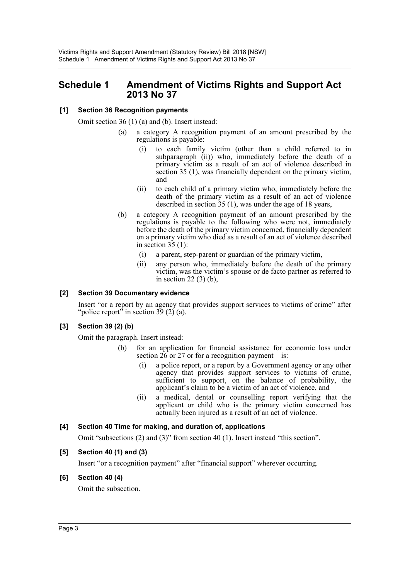# <span id="page-3-0"></span>**Schedule 1 Amendment of Victims Rights and Support Act 2013 No 37**

#### **[1] Section 36 Recognition payments**

Omit section 36 (1) (a) and (b). Insert instead:

- (a) a category A recognition payment of an amount prescribed by the regulations is payable:
	- (i) to each family victim (other than a child referred to in subparagraph (ii)) who, immediately before the death of a primary victim as a result of an act of violence described in section 35 (1), was financially dependent on the primary victim, and
	- (ii) to each child of a primary victim who, immediately before the death of the primary victim as a result of an act of violence described in section 35 (1), was under the age of 18 years,
- (b) a category A recognition payment of an amount prescribed by the regulations is payable to the following who were not, immediately before the death of the primary victim concerned, financially dependent on a primary victim who died as a result of an act of violence described in section  $35(1)$ :
	- (i) a parent, step-parent or guardian of the primary victim,
	- (ii) any person who, immediately before the death of the primary victim, was the victim's spouse or de facto partner as referred to in section 22 (3) (b),

#### **[2] Section 39 Documentary evidence**

Insert "or a report by an agency that provides support services to victims of crime" after "police report" in section  $39(2)$  (a).

#### **[3] Section 39 (2) (b)**

Omit the paragraph. Insert instead:

- (b) for an application for financial assistance for economic loss under section 26 or 27 or for a recognition payment—is:
	- (i) a police report, or a report by a Government agency or any other agency that provides support services to victims of crime, sufficient to support, on the balance of probability, the applicant's claim to be a victim of an act of violence, and
	- (ii) a medical, dental or counselling report verifying that the applicant or child who is the primary victim concerned has actually been injured as a result of an act of violence.

#### **[4] Section 40 Time for making, and duration of, applications**

Omit "subsections (2) and (3)" from section 40 (1). Insert instead "this section".

#### **[5] Section 40 (1) and (3)**

Insert "or a recognition payment" after "financial support" wherever occurring.

#### **[6] Section 40 (4)**

Omit the subsection.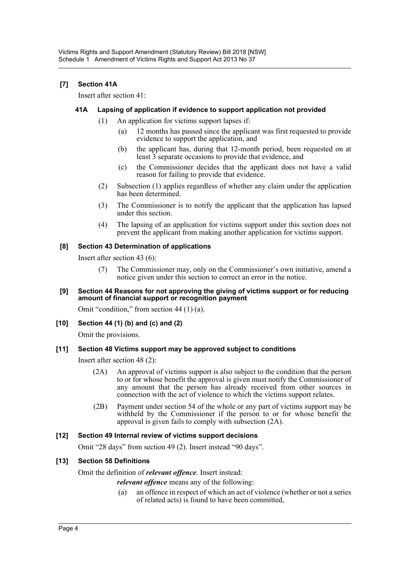#### **[7] Section 41A**

Insert after section 41:

#### **41A Lapsing of application if evidence to support application not provided**

- (1) An application for victims support lapses if:
	- (a) 12 months has passed since the applicant was first requested to provide evidence to support the application, and
	- (b) the applicant has, during that 12-month period, been requested on at least 3 separate occasions to provide that evidence, and
	- (c) the Commissioner decides that the applicant does not have a valid reason for failing to provide that evidence.
- (2) Subsection (1) applies regardless of whether any claim under the application has been determined.
- (3) The Commissioner is to notify the applicant that the application has lapsed under this section.
- (4) The lapsing of an application for victims support under this section does not prevent the applicant from making another application for victims support.

#### **[8] Section 43 Determination of applications**

Insert after section 43 (6):

(7) The Commissioner may, only on the Commissioner's own initiative, amend a notice given under this section to correct an error in the notice.

#### **[9] Section 44 Reasons for not approving the giving of victims support or for reducing amount of financial support or recognition payment**

Omit "condition," from section 44 (1) (a).

**[10] Section 44 (1) (b) and (c) and (2)**

Omit the provisions.

#### **[11] Section 48 Victims support may be approved subject to conditions**

Insert after section 48 (2):

- (2A) An approval of victims support is also subject to the condition that the person to or for whose benefit the approval is given must notify the Commissioner of any amount that the person has already received from other sources in connection with the act of violence to which the victims support relates.
- (2B) Payment under section 54 of the whole or any part of victims support may be withheld by the Commissioner if the person to or for whose benefit the approval is given fails to comply with subsection (2A).

#### **[12] Section 49 Internal review of victims support decisions**

Omit "28 days" from section 49 (2). Insert instead "90 days".

#### **[13] Section 58 Definitions**

#### Omit the definition of *relevant offence*. Insert instead:

*relevant offence* means any of the following:

(a) an offence in respect of which an act of violence (whether or not a series of related acts) is found to have been committed,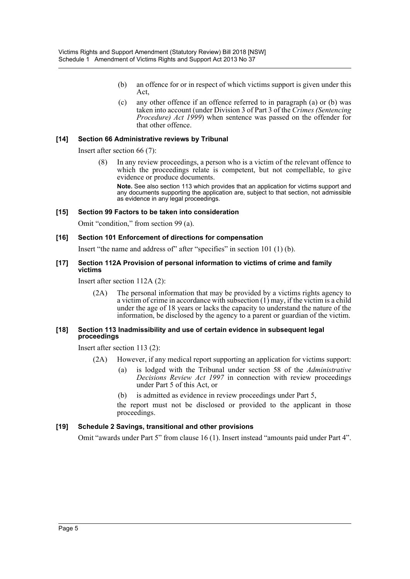- (b) an offence for or in respect of which victims support is given under this Act,
- (c) any other offence if an offence referred to in paragraph (a) or (b) was taken into account (under Division 3 of Part 3 of the *Crimes (Sentencing Procedure) Act 1999*) when sentence was passed on the offender for that other offence.

#### **[14] Section 66 Administrative reviews by Tribunal**

Insert after section 66 (7):

(8) In any review proceedings, a person who is a victim of the relevant offence to which the proceedings relate is competent, but not compellable, to give evidence or produce documents.

**Note.** See also section 113 which provides that an application for victims support and any documents supporting the application are, subject to that section, not admissible as evidence in any legal proceedings.

#### **[15] Section 99 Factors to be taken into consideration**

Omit "condition," from section 99 (a).

#### **[16] Section 101 Enforcement of directions for compensation**

Insert "the name and address of" after "specifies" in section 101 (1) (b).

#### **[17] Section 112A Provision of personal information to victims of crime and family victims**

Insert after section 112A (2):

(2A) The personal information that may be provided by a victims rights agency to a victim of crime in accordance with subsection (1) may, if the victim is a child under the age of 18 years or lacks the capacity to understand the nature of the information, be disclosed by the agency to a parent or guardian of the victim.

#### **[18] Section 113 Inadmissibility and use of certain evidence in subsequent legal proceedings**

Insert after section 113 (2):

- (2A) However, if any medical report supporting an application for victims support:
	- (a) is lodged with the Tribunal under section 58 of the *Administrative Decisions Review Act 1997* in connection with review proceedings under Part 5 of this Act, or
	- (b) is admitted as evidence in review proceedings under Part 5,

the report must not be disclosed or provided to the applicant in those proceedings.

#### **[19] Schedule 2 Savings, transitional and other provisions**

Omit "awards under Part 5" from clause 16 (1). Insert instead "amounts paid under Part 4".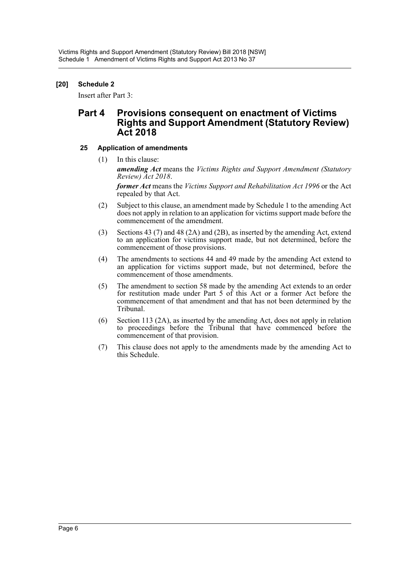#### **[20] Schedule 2**

Insert after Part 3:

# **Part 4 Provisions consequent on enactment of Victims Rights and Support Amendment (Statutory Review) Act 2018**

#### **25 Application of amendments**

(1) In this clause:

*amending Act* means the *Victims Rights and Support Amendment (Statutory Review) Act 2018*.

*former Act* means the *Victims Support and Rehabilitation Act 1996* or the Act repealed by that Act.

- (2) Subject to this clause, an amendment made by Schedule 1 to the amending Act does not apply in relation to an application for victims support made before the commencement of the amendment.
- (3) Sections 43 (7) and 48 (2A) and (2B), as inserted by the amending Act, extend to an application for victims support made, but not determined, before the commencement of those provisions.
- (4) The amendments to sections 44 and 49 made by the amending Act extend to an application for victims support made, but not determined, before the commencement of those amendments.
- (5) The amendment to section 58 made by the amending Act extends to an order for restitution made under Part 5 of this Act or a former Act before the commencement of that amendment and that has not been determined by the Tribunal.
- (6) Section 113 (2A), as inserted by the amending Act, does not apply in relation to proceedings before the Tribunal that have commenced before the commencement of that provision.
- (7) This clause does not apply to the amendments made by the amending Act to this Schedule.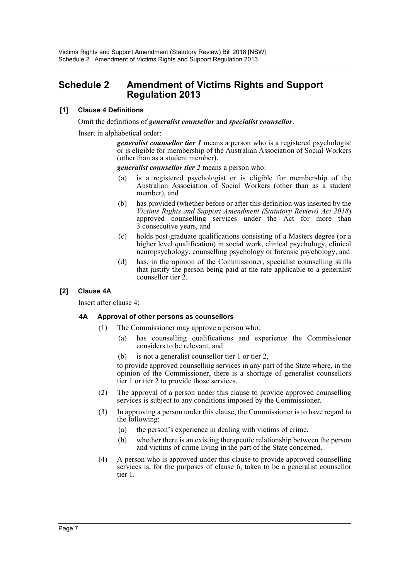# <span id="page-7-0"></span>**Schedule 2 Amendment of Victims Rights and Support Regulation 2013**

#### **[1] Clause 4 Definitions**

Omit the definitions of *generalist counsellor* and *specialist counsellor*.

Insert in alphabetical order:

*generalist counsellor tier 1* means a person who is a registered psychologist or is eligible for membership of the Australian Association of Social Workers (other than as a student member).

*generalist counsellor tier 2* means a person who:

- (a) is a registered psychologist or is eligible for membership of the Australian Association of Social Workers (other than as a student member), and
- (b) has provided (whether before or after this definition was inserted by the *Victims Rights and Support Amendment (Statutory Review) Act 2018*) approved counselling services under the Act for more than 3 consecutive years, and
- (c) holds post-graduate qualifications consisting of a Masters degree (or a higher level qualification) in social work, clinical psychology, clinical neuropsychology, counselling psychology or forensic psychology, and
- (d) has, in the opinion of the Commissioner, specialist counselling skills that justify the person being paid at the rate applicable to a generalist counsellor tier 2.

#### **[2] Clause 4A**

Insert after clause 4:

#### **4A Approval of other persons as counsellors**

- (1) The Commissioner may approve a person who:
	- (a) has counselling qualifications and experience the Commissioner considers to be relevant, and
	- (b) is not a generalist counsellor tier 1 or tier 2,

to provide approved counselling services in any part of the State where, in the opinion of the Commissioner, there is a shortage of generalist counsellors tier 1 or tier 2 to provide those services.

- (2) The approval of a person under this clause to provide approved counselling services is subject to any conditions imposed by the Commissioner.
- (3) In approving a person under this clause, the Commissioner is to have regard to the following:
	- (a) the person's experience in dealing with victims of crime,
	- (b) whether there is an existing therapeutic relationship between the person and victims of crime living in the part of the State concerned.
- (4) A person who is approved under this clause to provide approved counselling services is, for the purposes of clause 6, taken to be a generalist counsellor tier 1.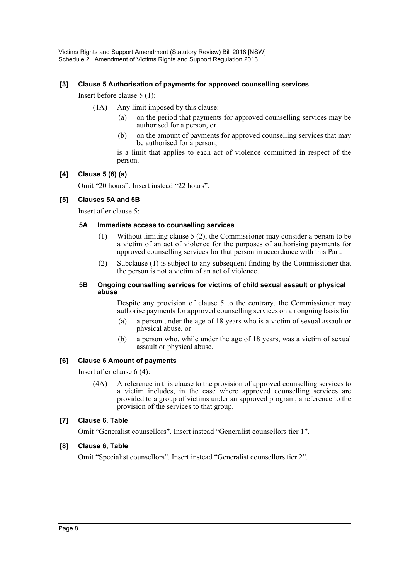#### **[3] Clause 5 Authorisation of payments for approved counselling services**

Insert before clause 5 (1):

- (1A) Any limit imposed by this clause:
	- (a) on the period that payments for approved counselling services may be authorised for a person, or
	- (b) on the amount of payments for approved counselling services that may be authorised for a person,

is a limit that applies to each act of violence committed in respect of the person.

#### **[4] Clause 5 (6) (a)**

Omit "20 hours". Insert instead "22 hours".

#### **[5] Clauses 5A and 5B**

Insert after clause 5:

#### **5A Immediate access to counselling services**

- (1) Without limiting clause 5 (2), the Commissioner may consider a person to be a victim of an act of violence for the purposes of authorising payments for approved counselling services for that person in accordance with this Part.
- (2) Subclause (1) is subject to any subsequent finding by the Commissioner that the person is not a victim of an act of violence.

#### **5B Ongoing counselling services for victims of child sexual assault or physical abuse**

Despite any provision of clause 5 to the contrary, the Commissioner may authorise payments for approved counselling services on an ongoing basis for:

- (a) a person under the age of 18 years who is a victim of sexual assault or physical abuse, or
- (b) a person who, while under the age of 18 years, was a victim of sexual assault or physical abuse.

#### **[6] Clause 6 Amount of payments**

Insert after clause 6 (4):

(4A) A reference in this clause to the provision of approved counselling services to a victim includes, in the case where approved counselling services are provided to a group of victims under an approved program, a reference to the provision of the services to that group.

#### **[7] Clause 6, Table**

Omit "Generalist counsellors". Insert instead "Generalist counsellors tier 1".

#### **[8] Clause 6, Table**

Omit "Specialist counsellors". Insert instead "Generalist counsellors tier 2".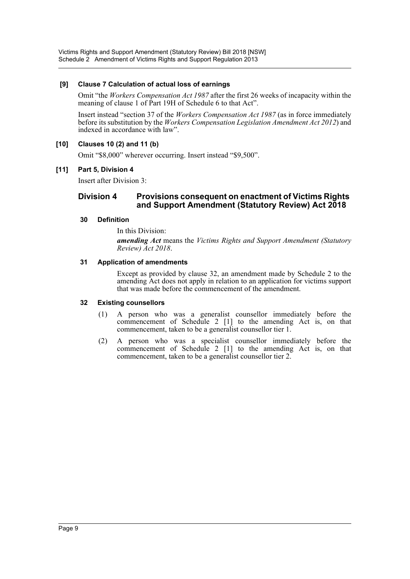Victims Rights and Support Amendment (Statutory Review) Bill 2018 [NSW] Schedule 2 Amendment of Victims Rights and Support Regulation 2013

#### **[9] Clause 7 Calculation of actual loss of earnings**

Omit "the *Workers Compensation Act 1987* after the first 26 weeks of incapacity within the meaning of clause 1 of Part 19H of Schedule 6 to that Act".

Insert instead "section 37 of the *Workers Compensation Act 1987* (as in force immediately before its substitution by the *Workers Compensation Legislation Amendment Act 2012*) and indexed in accordance with law".

#### **[10] Clauses 10 (2) and 11 (b)**

Omit "\$8,000" wherever occurring. Insert instead "\$9,500".

#### **[11] Part 5, Division 4**

Insert after Division 3:

#### **Division 4 Provisions consequent on enactment of Victims Rights and Support Amendment (Statutory Review) Act 2018**

#### **30 Definition**

In this Division: *amending Act* means the *Victims Rights and Support Amendment (Statutory Review) Act 2018*.

#### **31 Application of amendments**

Except as provided by clause 32, an amendment made by Schedule 2 to the amending Act does not apply in relation to an application for victims support that was made before the commencement of the amendment.

#### **32 Existing counsellors**

- (1) A person who was a generalist counsellor immediately before the commencement of Schedule 2 [1] to the amending Act is, on that commencement, taken to be a generalist counsellor tier 1.
- (2) A person who was a specialist counsellor immediately before the commencement of Schedule 2 [1] to the amending Act is, on that commencement, taken to be a generalist counsellor tier 2.